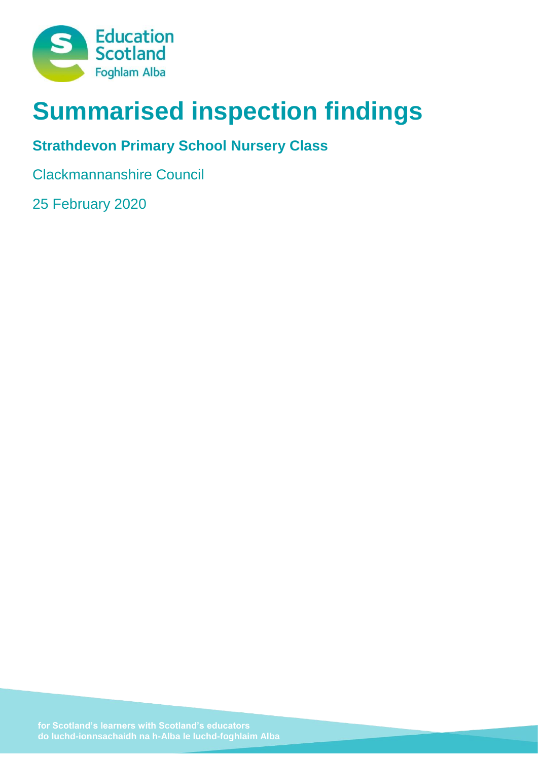

# **Summarised inspection findings**

# **Strathdevon Primary School Nursery Class**

Clackmannanshire Council

25 February 2020

**do luchd-ionnsachaidh na h-Alba le luchd-foghlaim Alba**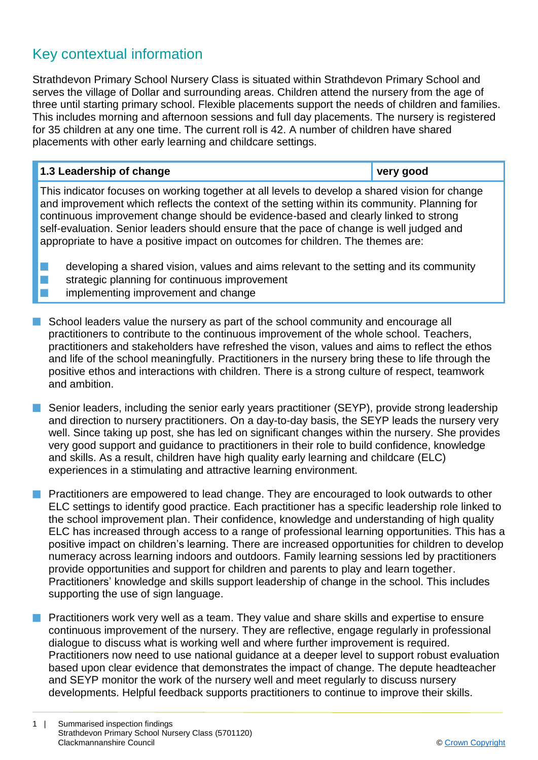## Key contextual information

Strathdevon Primary School Nursery Class is situated within Strathdevon Primary School and serves the village of Dollar and surrounding areas. Children attend the nursery from the age of three until starting primary school. Flexible placements support the needs of children and families. This includes morning and afternoon sessions and full day placements. The nursery is registered for 35 children at any one time. The current roll is 42. A number of children have shared placements with other early learning and childcare settings.

| 1.3 Leadership of change                                                                                                                                                                                                                                                                                                                                                          | very good |
|-----------------------------------------------------------------------------------------------------------------------------------------------------------------------------------------------------------------------------------------------------------------------------------------------------------------------------------------------------------------------------------|-----------|
| This indicator focuses on working together at all levels to develop a shared vision for change<br>and improvement which reflects the context of the setting within its community. Planning for<br>continuous improvement change should be evidence-based and clearly linked to strong<br>self-evaluation. Senior leaders should ensure that the pace of change is well judged and |           |

appropriate to have a positive impact on outcomes for children. The themes are:

- developing a shared vision, values and aims relevant to the setting and its community strategic planning for continuous improvement
- implementing improvement and change
- **n** School leaders value the nursery as part of the school community and encourage all practitioners to contribute to the continuous improvement of the whole school. Teachers, practitioners and stakeholders have refreshed the vison, values and aims to reflect the ethos and life of the school meaningfully. Practitioners in the nursery bring these to life through the positive ethos and interactions with children. There is a strong culture of respect, teamwork and ambition.
- Senior leaders, including the senior early years practitioner (SEYP), provide strong leadership and direction to nursery practitioners. On a day-to-day basis, the SEYP leads the nursery very well. Since taking up post, she has led on significant changes within the nursery. She provides very good support and guidance to practitioners in their role to build confidence, knowledge and skills. As a result, children have high quality early learning and childcare (ELC) experiences in a stimulating and attractive learning environment.
- **n** Practitioners are empowered to lead change. They are encouraged to look outwards to other ELC settings to identify good practice. Each practitioner has a specific leadership role linked to the school improvement plan. Their confidence, knowledge and understanding of high quality ELC has increased through access to a range of professional learning opportunities. This has a positive impact on children's learning. There are increased opportunities for children to develop numeracy across learning indoors and outdoors. Family learning sessions led by practitioners provide opportunities and support for children and parents to play and learn together. Practitioners' knowledge and skills support leadership of change in the school. This includes supporting the use of sign language.
- **n** Practitioners work very well as a team. They value and share skills and expertise to ensure continuous improvement of the nursery. They are reflective, engage regularly in professional dialogue to discuss what is working well and where further improvement is required. Practitioners now need to use national guidance at a deeper level to support robust evaluation based upon clear evidence that demonstrates the impact of change. The depute headteacher and SEYP monitor the work of the nursery well and meet regularly to discuss nursery developments. Helpful feedback supports practitioners to continue to improve their skills.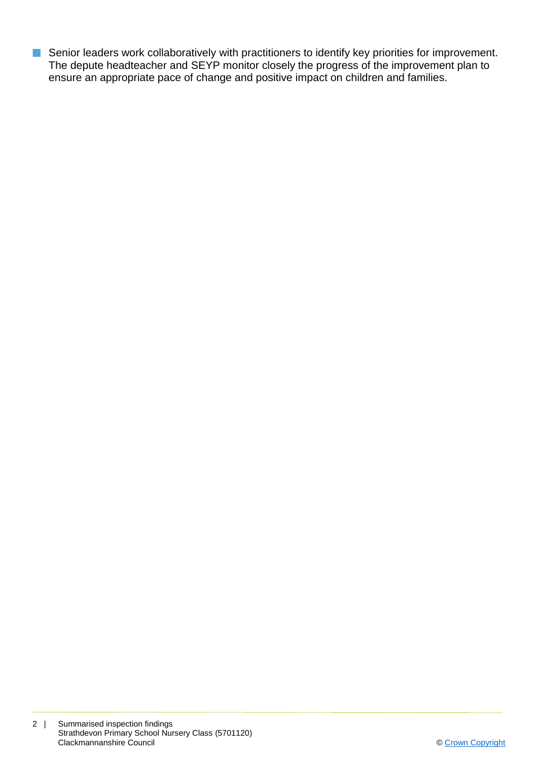**n** Senior leaders work collaboratively with practitioners to identify key priorities for improvement. The depute headteacher and SEYP monitor closely the progress of the improvement plan to ensure an appropriate pace of change and positive impact on children and families.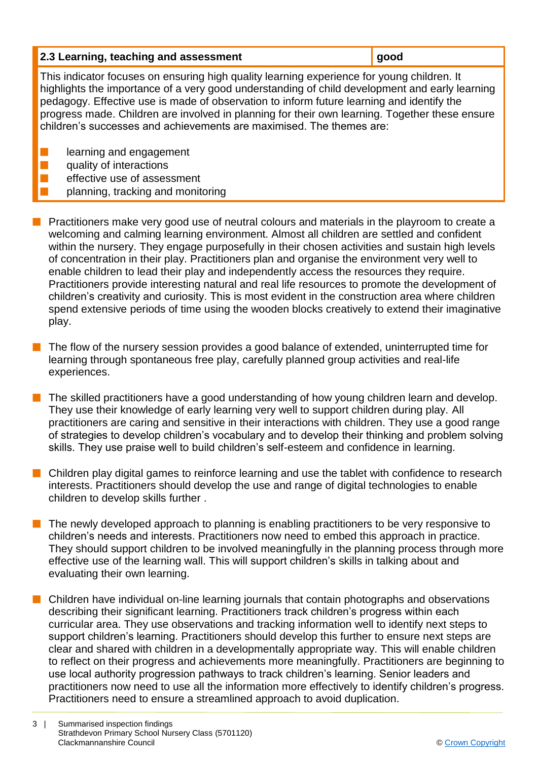| 2.3 Learning, teaching and assessment                                                                                                                                                                                                                                                                                                                                                                                                                               | good |  |
|---------------------------------------------------------------------------------------------------------------------------------------------------------------------------------------------------------------------------------------------------------------------------------------------------------------------------------------------------------------------------------------------------------------------------------------------------------------------|------|--|
| This indicator focuses on ensuring high quality learning experience for young children. It<br>highlights the importance of a very good understanding of child development and early learning<br>pedagogy. Effective use is made of observation to inform future learning and identify the<br>progress made. Children are involved in planning for their own learning. Together these ensure<br>children's successes and achievements are maximised. The themes are: |      |  |
| learning and engagement<br>quality of interactions<br>effective use of assessment                                                                                                                                                                                                                                                                                                                                                                                   |      |  |

- planning, tracking and monitoring
- **Peractitioners make very good use of neutral colours and materials in the playroom to create a** welcoming and calming learning environment. Almost all children are settled and confident within the nursery. They engage purposefully in their chosen activities and sustain high levels of concentration in their play. Practitioners plan and organise the environment very well to enable children to lead their play and independently access the resources they require. Practitioners provide interesting natural and real life resources to promote the development of children's creativity and curiosity. This is most evident in the construction area where children spend extensive periods of time using the wooden blocks creatively to extend their imaginative play.
- The flow of the nursery session provides a good balance of extended, uninterrupted time for learning through spontaneous free play, carefully planned group activities and real-life experiences.
- The skilled practitioners have a good understanding of how young children learn and develop. They use their knowledge of early learning very well to support children during play. All practitioners are caring and sensitive in their interactions with children. They use a good range of strategies to develop children's vocabulary and to develop their thinking and problem solving skills. They use praise well to build children's self-esteem and confidence in learning.
- **n** Children play digital games to reinforce learning and use the tablet with confidence to research interests. Practitioners should develop the use and range of digital technologies to enable children to develop skills further .
- $\blacksquare$  The newly developed approach to planning is enabling practitioners to be very responsive to children's needs and interests. Practitioners now need to embed this approach in practice. They should support children to be involved meaningfully in the planning process through more effective use of the learning wall. This will support children's skills in talking about and evaluating their own learning.
- $\blacksquare$  Children have individual on-line learning journals that contain photographs and observations describing their significant learning. Practitioners track children's progress within each curricular area. They use observations and tracking information well to identify next steps to support children's learning. Practitioners should develop this further to ensure next steps are clear and shared with children in a developmentally appropriate way. This will enable children to reflect on their progress and achievements more meaningfully. Practitioners are beginning to use local authority progression pathways to track children's learning. Senior leaders and practitioners now need to use all the information more effectively to identify children's progress. Practitioners need to ensure a streamlined approach to avoid duplication.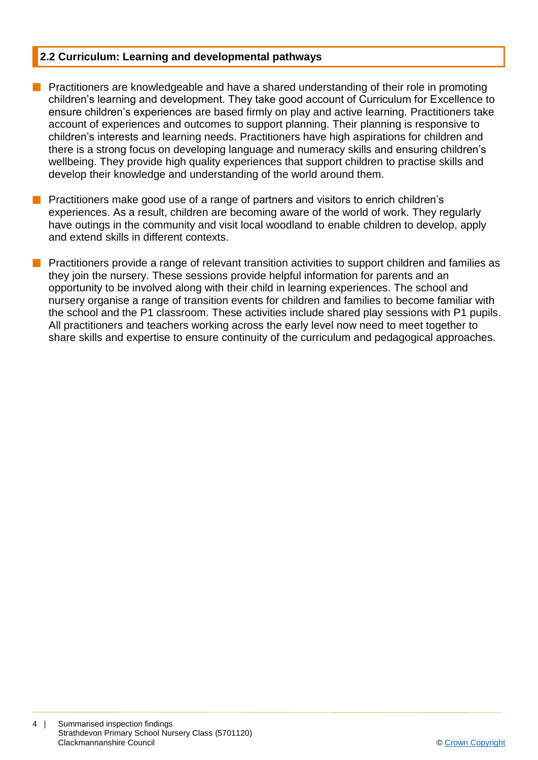#### **2.2 Curriculum: Learning and developmental pathways**

- **n** Practitioners are knowledgeable and have a shared understanding of their role in promoting children's learning and development. They take good account of Curriculum for Excellence to ensure children's experiences are based firmly on play and active learning. Practitioners take account of experiences and outcomes to support planning. Their planning is responsive to children's interests and learning needs. Practitioners have high aspirations for children and there is a strong focus on developing language and numeracy skills and ensuring children's wellbeing. They provide high quality experiences that support children to practise skills and develop their knowledge and understanding of the world around them.
- **n** Practitioners make good use of a range of partners and visitors to enrich children's experiences. As a result, children are becoming aware of the world of work. They regularly have outings in the community and visit local woodland to enable children to develop, apply and extend skills in different contexts.
- n Practitioners provide a range of relevant transition activities to support children and families as they join the nursery. These sessions provide helpful information for parents and an opportunity to be involved along with their child in learning experiences. The school and nursery organise a range of transition events for children and families to become familiar with the school and the P1 classroom. These activities include shared play sessions with P1 pupils. All practitioners and teachers working across the early level now need to meet together to share skills and expertise to ensure continuity of the curriculum and pedagogical approaches.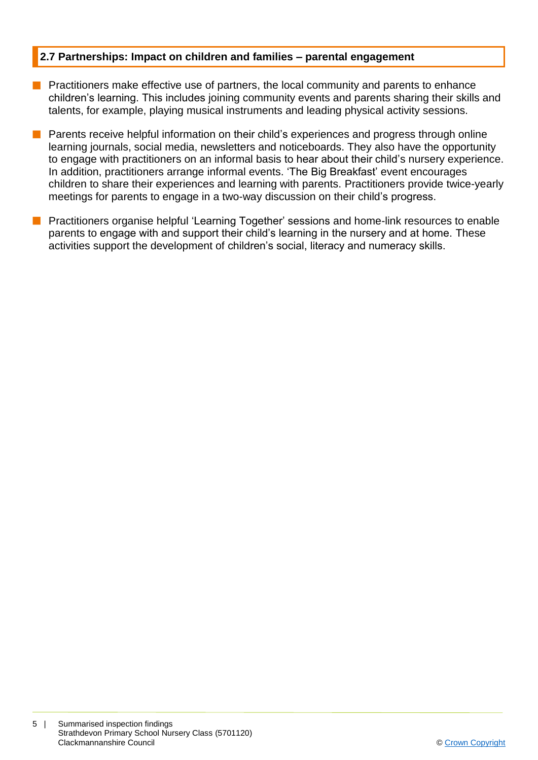#### **2.7 Partnerships: Impact on children and families – parental engagement**

- **n** Practitioners make effective use of partners, the local community and parents to enhance children's learning. This includes joining community events and parents sharing their skills and talents, for example, playing musical instruments and leading physical activity sessions.
- **n** Parents receive helpful information on their child's experiences and progress through online learning journals, social media, newsletters and noticeboards. They also have the opportunity to engage with practitioners on an informal basis to hear about their child's nursery experience. In addition, practitioners arrange informal events. 'The Big Breakfast' event encourages children to share their experiences and learning with parents. Practitioners provide twice-yearly meetings for parents to engage in a two-way discussion on their child's progress.
- **n** Practitioners organise helpful 'Learning Together' sessions and home-link resources to enable parents to engage with and support their child's learning in the nursery and at home. These activities support the development of children's social, literacy and numeracy skills.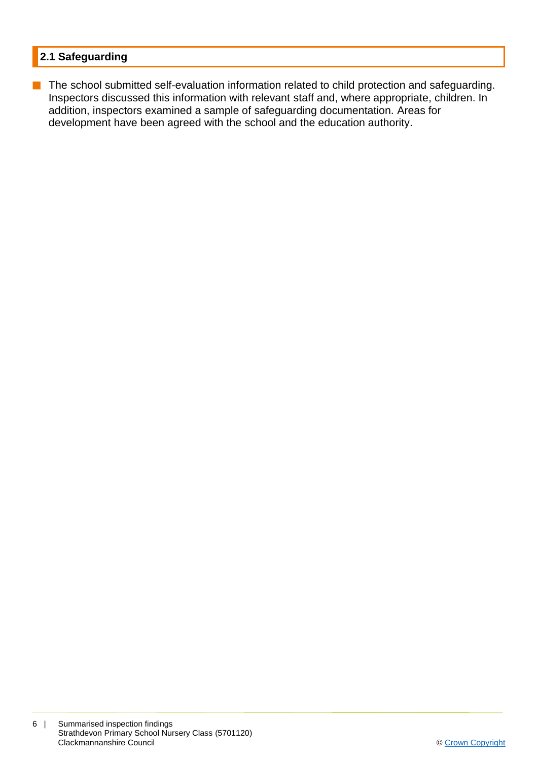### **2.1 Safeguarding**

**n** The school submitted self-evaluation information related to child protection and safeguarding. Inspectors discussed this information with relevant staff and, where appropriate, children. In addition, inspectors examined a sample of safeguarding documentation. Areas for development have been agreed with the school and the education authority.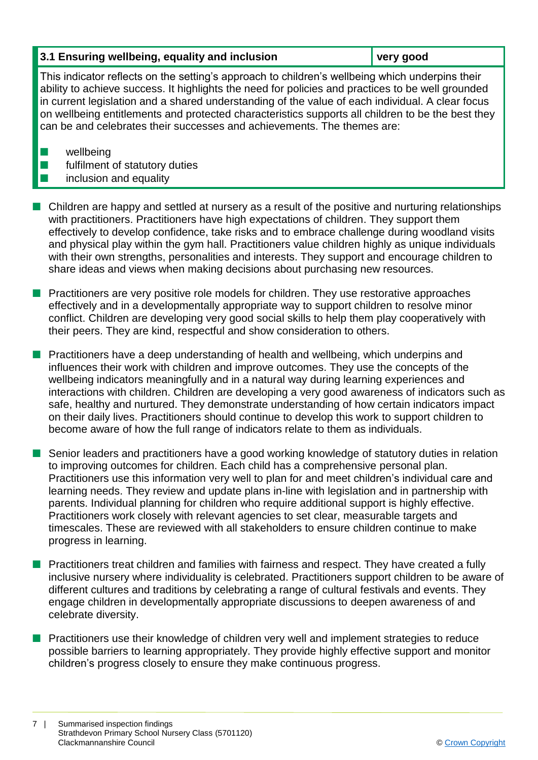#### **3.1 Ensuring wellbeing, equality and inclusion very good**

This indicator reflects on the setting's approach to children's wellbeing which underpins their ability to achieve success. It highlights the need for policies and practices to be well grounded in current legislation and a shared understanding of the value of each individual. A clear focus on wellbeing entitlements and protected characteristics supports all children to be the best they can be and celebrates their successes and achievements. The themes are:

 $\blacksquare$  wellbeing

 $\blacksquare$  fulfilment of statutory duties

## $\blacksquare$  inclusion and equality

- n Children are happy and settled at nursery as a result of the positive and nurturing relationships with practitioners. Practitioners have high expectations of children. They support them effectively to develop confidence, take risks and to embrace challenge during woodland visits and physical play within the gym hall. Practitioners value children highly as unique individuals with their own strengths, personalities and interests. They support and encourage children to share ideas and views when making decisions about purchasing new resources.
- **Practitioners are very positive role models for children. They use restorative approaches** effectively and in a developmentally appropriate way to support children to resolve minor conflict. Children are developing very good social skills to help them play cooperatively with their peers. They are kind, respectful and show consideration to others.
- **n** Practitioners have a deep understanding of health and wellbeing, which underpins and influences their work with children and improve outcomes. They use the concepts of the wellbeing indicators meaningfully and in a natural way during learning experiences and interactions with children. Children are developing a very good awareness of indicators such as safe, healthy and nurtured. They demonstrate understanding of how certain indicators impact on their daily lives. Practitioners should continue to develop this work to support children to become aware of how the full range of indicators relate to them as individuals.
- **n** Senior leaders and practitioners have a good working knowledge of statutory duties in relation to improving outcomes for children. Each child has a comprehensive personal plan. Practitioners use this information very well to plan for and meet children's individual care and learning needs. They review and update plans in-line with legislation and in partnership with parents. Individual planning for children who require additional support is highly effective. Practitioners work closely with relevant agencies to set clear, measurable targets and timescales. These are reviewed with all stakeholders to ensure children continue to make progress in learning.
- **n** Practitioners treat children and families with fairness and respect. They have created a fully inclusive nursery where individuality is celebrated. Practitioners support children to be aware of different cultures and traditions by celebrating a range of cultural festivals and events. They engage children in developmentally appropriate discussions to deepen awareness of and celebrate diversity.
- **n** Practitioners use their knowledge of children very well and implement strategies to reduce possible barriers to learning appropriately. They provide highly effective support and monitor children's progress closely to ensure they make continuous progress.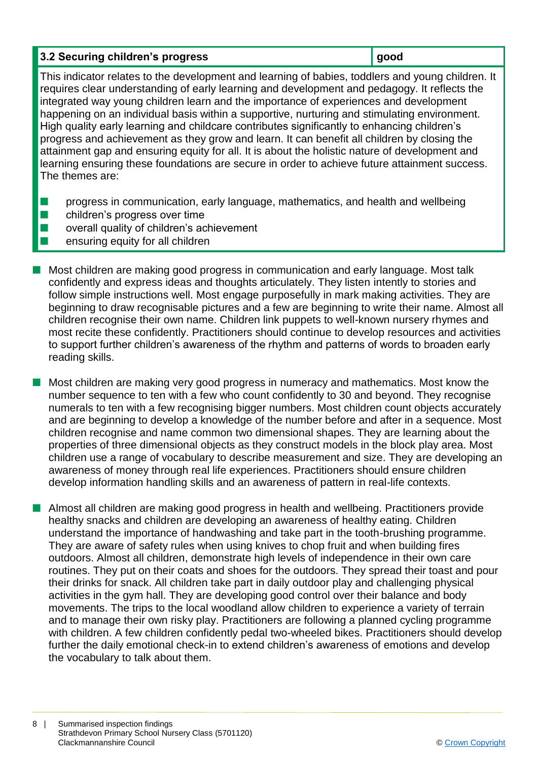## **3.2 Securing children's progress good**

This indicator relates to the development and learning of babies, toddlers and young children. It requires clear understanding of early learning and development and pedagogy. It reflects the integrated way young children learn and the importance of experiences and development happening on an individual basis within a supportive, nurturing and stimulating environment. High quality early learning and childcare contributes significantly to enhancing children's progress and achievement as they grow and learn. It can benefit all children by closing the attainment gap and ensuring equity for all. It is about the holistic nature of development and learning ensuring these foundations are secure in order to achieve future attainment success. The themes are:

- $\blacksquare$  progress in communication, early language, mathematics, and health and wellbeing
- $\blacksquare$  children's progress over time
- $\blacksquare$  overall quality of children's achievement
- $\blacksquare$  ensuring equity for all children
- **n** Most children are making good progress in communication and early language. Most talk confidently and express ideas and thoughts articulately. They listen intently to stories and follow simple instructions well. Most engage purposefully in mark making activities. They are beginning to draw recognisable pictures and a few are beginning to write their name. Almost all children recognise their own name. Children link puppets to well-known nursery rhymes and most recite these confidently. Practitioners should continue to develop resources and activities to support further children's awareness of the rhythm and patterns of words to broaden early reading skills.

 $\blacksquare$  Most children are making very good progress in numeracy and mathematics. Most know the number sequence to ten with a few who count confidently to 30 and beyond. They recognise numerals to ten with a few recognising bigger numbers. Most children count objects accurately and are beginning to develop a knowledge of the number before and after in a sequence. Most children recognise and name common two dimensional shapes. They are learning about the properties of three dimensional objects as they construct models in the block play area. Most children use a range of vocabulary to describe measurement and size. They are developing an awareness of money through real life experiences. Practitioners should ensure children develop information handling skills and an awareness of pattern in real-life contexts.

■ Almost all children are making good progress in health and wellbeing. Practitioners provide healthy snacks and children are developing an awareness of healthy eating. Children understand the importance of handwashing and take part in the tooth-brushing programme. They are aware of safety rules when using knives to chop fruit and when building fires outdoors. Almost all children, demonstrate high levels of independence in their own care routines. They put on their coats and shoes for the outdoors. They spread their toast and pour their drinks for snack. All children take part in daily outdoor play and challenging physical activities in the gym hall. They are developing good control over their balance and body movements. The trips to the local woodland allow children to experience a variety of terrain and to manage their own risky play. Practitioners are following a planned cycling programme with children. A few children confidently pedal two-wheeled bikes. Practitioners should develop further the daily emotional check-in to extend children's awareness of emotions and develop the vocabulary to talk about them.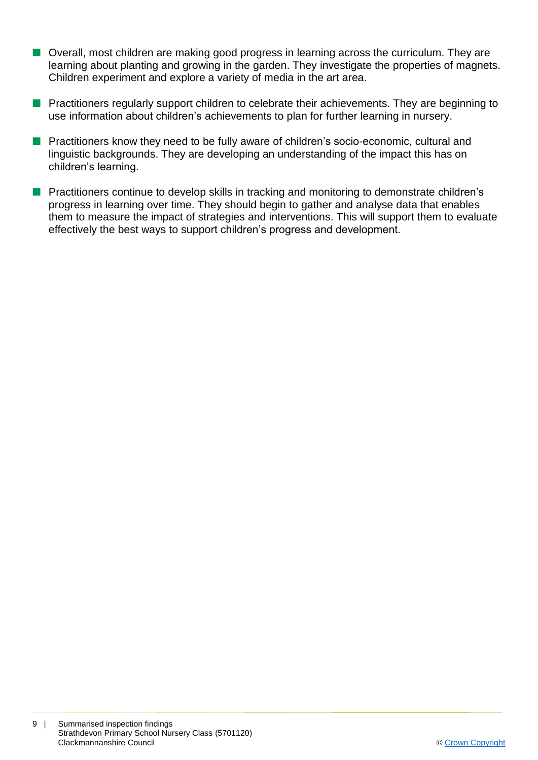- Overall, most children are making good progress in learning across the curriculum. They are learning about planting and growing in the garden. They investigate the properties of magnets. Children experiment and explore a variety of media in the art area.
- **n** Practitioners regularly support children to celebrate their achievements. They are beginning to use information about children's achievements to plan for further learning in nursery.
- **n** Practitioners know they need to be fully aware of children's socio-economic, cultural and linguistic backgrounds. They are developing an understanding of the impact this has on children's learning.
- **n** Practitioners continue to develop skills in tracking and monitoring to demonstrate children's progress in learning over time. They should begin to gather and analyse data that enables them to measure the impact of strategies and interventions. This will support them to evaluate effectively the best ways to support children's progress and development.